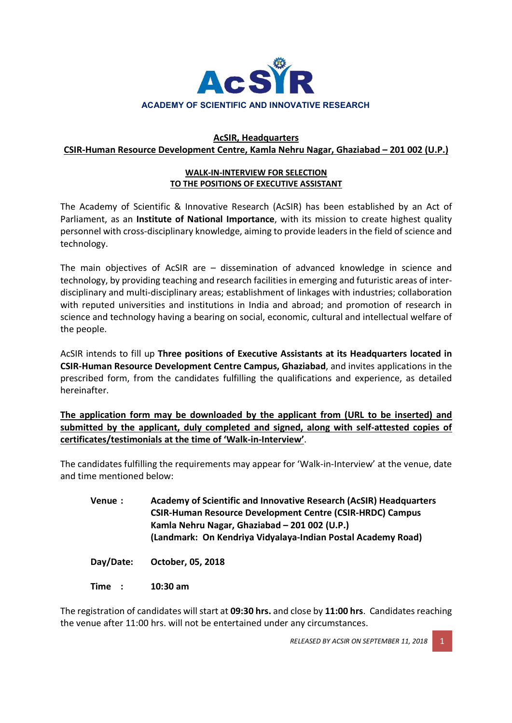

### AcSIR, Headquarters CSIR-Human Resource Development Centre, Kamla Nehru Nagar, Ghaziabad – 201 002 (U.P.)

#### WALK-IN-INTERVIEW FOR SELECTION TO THE POSITIONS OF EXECUTIVE ASSISTANT

The Academy of Scientific & Innovative Research (AcSIR) has been established by an Act of Parliament, as an **Institute of National Importance**, with its mission to create highest quality personnel with cross-disciplinary knowledge, aiming to provide leaders in the field of science and technology.

The main objectives of AcSIR are – dissemination of advanced knowledge in science and technology, by providing teaching and research facilities in emerging and futuristic areas of interdisciplinary and multi-disciplinary areas; establishment of linkages with industries; collaboration with reputed universities and institutions in India and abroad; and promotion of research in science and technology having a bearing on social, economic, cultural and intellectual welfare of the people.

AcSIR intends to fill up Three positions of Executive Assistants at its Headquarters located in CSIR-Human Resource Development Centre Campus, Ghaziabad, and invites applications in the prescribed form, from the candidates fulfilling the qualifications and experience, as detailed hereinafter.

The application form may be downloaded by the applicant from (URL to be inserted) and submitted by the applicant, duly completed and signed, along with self-attested copies of certificates/testimonials at the time of 'Walk-in-Interview'.

The candidates fulfilling the requirements may appear for 'Walk-in-Interview' at the venue, date and time mentioned below:

Venue : Academy of Scientific and Innovative Research (AcSIR) Headquarters CSIR-Human Resource Development Centre (CSIR-HRDC) Campus Kamla Nehru Nagar, Ghaziabad – 201 002 (U.P.) (Landmark: On Kendriya Vidyalaya-Indian Postal Academy Road)

Day/Date: October, 05, 2018

Time : 10:30 am

The registration of candidates will start at 09:30 hrs. and close by 11:00 hrs. Candidates reaching the venue after 11:00 hrs. will not be entertained under any circumstances.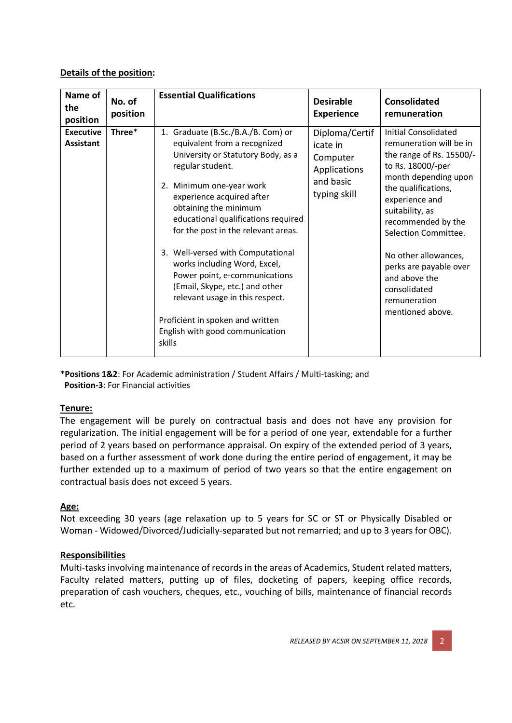## Details of the position:

| Name of<br>the<br>position           | No. of<br>position | <b>Essential Qualifications</b>                                                                                                                                                                                                                                                                                                                                                                                                                                                                                                                          | <b>Desirable</b><br><b>Experience</b>                                               | <b>Consolidated</b><br>remuneration                                                                                                                                                                                                                                                                                                                       |
|--------------------------------------|--------------------|----------------------------------------------------------------------------------------------------------------------------------------------------------------------------------------------------------------------------------------------------------------------------------------------------------------------------------------------------------------------------------------------------------------------------------------------------------------------------------------------------------------------------------------------------------|-------------------------------------------------------------------------------------|-----------------------------------------------------------------------------------------------------------------------------------------------------------------------------------------------------------------------------------------------------------------------------------------------------------------------------------------------------------|
| <b>Executive</b><br><b>Assistant</b> | Three*             | 1. Graduate (B.Sc./B.A./B. Com) or<br>equivalent from a recognized<br>University or Statutory Body, as a<br>regular student.<br>2. Minimum one-year work<br>experience acquired after<br>obtaining the minimum<br>educational qualifications required<br>for the post in the relevant areas.<br>3. Well-versed with Computational<br>works including Word, Excel,<br>Power point, e-communications<br>(Email, Skype, etc.) and other<br>relevant usage in this respect.<br>Proficient in spoken and written<br>English with good communication<br>skills | Diploma/Certif<br>icate in<br>Computer<br>Applications<br>and basic<br>typing skill | Initial Consolidated<br>remuneration will be in<br>the range of Rs. 15500/-<br>to Rs. 18000/-per<br>month depending upon<br>the qualifications,<br>experience and<br>suitability, as<br>recommended by the<br>Selection Committee.<br>No other allowances,<br>perks are payable over<br>and above the<br>consolidated<br>remuneration<br>mentioned above. |

\*Positions 1&2: For Academic administration / Student Affairs / Multi-tasking; and Position-3: For Financial activities

### Tenure:

The engagement will be purely on contractual basis and does not have any provision for regularization. The initial engagement will be for a period of one year, extendable for a further period of 2 years based on performance appraisal. On expiry of the extended period of 3 years, based on a further assessment of work done during the entire period of engagement, it may be further extended up to a maximum of period of two years so that the entire engagement on contractual basis does not exceed 5 years.

# Age:

Not exceeding 30 years (age relaxation up to 5 years for SC or ST or Physically Disabled or Woman - Widowed/Divorced/Judicially-separated but not remarried; and up to 3 years for OBC).

# **Responsibilities**

Multi-tasks involving maintenance of records in the areas of Academics, Student related matters, Faculty related matters, putting up of files, docketing of papers, keeping office records, preparation of cash vouchers, cheques, etc., vouching of bills, maintenance of financial records etc.